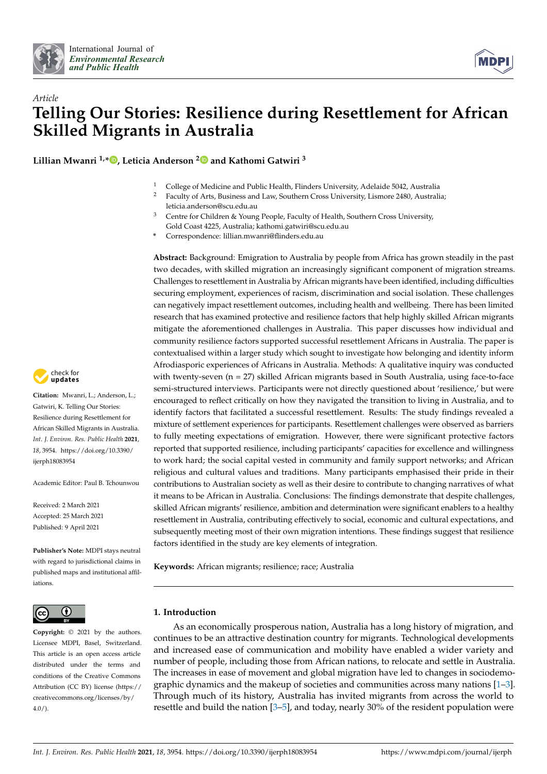



# *Article* **Telling Our Stories: Resilience during Resettlement for African Skilled Migrants in Australia**

**Lillian Mwanri 1,[\\*](https://orcid.org/0000-0002-5792-7785) , Leticia Anderson [2](https://orcid.org/0000-0001-9219-4356) and Kathomi Gatwiri <sup>3</sup>**

- <sup>1</sup> College of Medicine and Public Health, Flinders University, Adelaide 5042, Australia<sup>2</sup> Eaculty of Arts. Business and Law Southern Cross University Lismore 2480, Australia
- <sup>2</sup> Faculty of Arts, Business and Law, Southern Cross University, Lismore 2480, Australia; leticia.anderson@scu.edu.au
- <sup>3</sup> Centre for Children & Young People, Faculty of Health, Southern Cross University, Gold Coast 4225, Australia; kathomi.gatwiri@scu.edu.au
- **\*** Correspondence: lillian.mwanri@flinders.edu.au

**Abstract:** Background: Emigration to Australia by people from Africa has grown steadily in the past two decades, with skilled migration an increasingly significant component of migration streams. Challenges to resettlement in Australia by African migrants have been identified, including difficulties securing employment, experiences of racism, discrimination and social isolation. These challenges can negatively impact resettlement outcomes, including health and wellbeing. There has been limited research that has examined protective and resilience factors that help highly skilled African migrants mitigate the aforementioned challenges in Australia. This paper discusses how individual and community resilience factors supported successful resettlement Africans in Australia. The paper is contextualised within a larger study which sought to investigate how belonging and identity inform Afrodiasporic experiences of Africans in Australia. Methods: A qualitative inquiry was conducted with twenty-seven (n = 27) skilled African migrants based in South Australia, using face-to-face semi-structured interviews. Participants were not directly questioned about 'resilience,' but were encouraged to reflect critically on how they navigated the transition to living in Australia, and to identify factors that facilitated a successful resettlement. Results: The study findings revealed a mixture of settlement experiences for participants. Resettlement challenges were observed as barriers to fully meeting expectations of emigration. However, there were significant protective factors reported that supported resilience, including participants' capacities for excellence and willingness to work hard; the social capital vested in community and family support networks; and African religious and cultural values and traditions. Many participants emphasised their pride in their contributions to Australian society as well as their desire to contribute to changing narratives of what it means to be African in Australia. Conclusions: The findings demonstrate that despite challenges, skilled African migrants' resilience, ambition and determination were significant enablers to a healthy resettlement in Australia, contributing effectively to social, economic and cultural expectations, and subsequently meeting most of their own migration intentions. These findings suggest that resilience factors identified in the study are key elements of integration.

**Keywords:** African migrants; resilience; race; Australia

## **1. Introduction**

As an economically prosperous nation, Australia has a long history of migration, and continues to be an attractive destination country for migrants. Technological developments and increased ease of communication and mobility have enabled a wider variety and number of people, including those from African nations, to relocate and settle in Australia. The increases in ease of movement and global migration have led to changes in sociodemographic dynamics and the makeup of societies and communities across many nations  $[1-3]$  $[1-3]$ . Through much of its history, Australia has invited migrants from across the world to resettle and build the nation [\[3](#page-12-1)[–5\]](#page-12-2), and today, nearly 30% of the resident population were



**Citation:** Mwanri, L.; Anderson, L.; Gatwiri, K. Telling Our Stories: Resilience during Resettlement for African Skilled Migrants in Australia. *Int. J. Environ. Res. Public Health* **2021**, *18*, 3954. [https://doi.org/10.3390/](https://doi.org/10.3390/ijerph18083954) [ijerph18083954](https://doi.org/10.3390/ijerph18083954)

Academic Editor: Paul B. Tchounwou

Received: 2 March 2021 Accepted: 25 March 2021 Published: 9 April 2021

**Publisher's Note:** MDPI stays neutral with regard to jurisdictional claims in published maps and institutional affiliations.



**Copyright:** © 2021 by the authors. Licensee MDPI, Basel, Switzerland. This article is an open access article distributed under the terms and conditions of the Creative Commons Attribution (CC BY) license (https:/[/](https://creativecommons.org/licenses/by/4.0/) [creativecommons.org/licenses/by/](https://creativecommons.org/licenses/by/4.0/)  $4.0/$ ).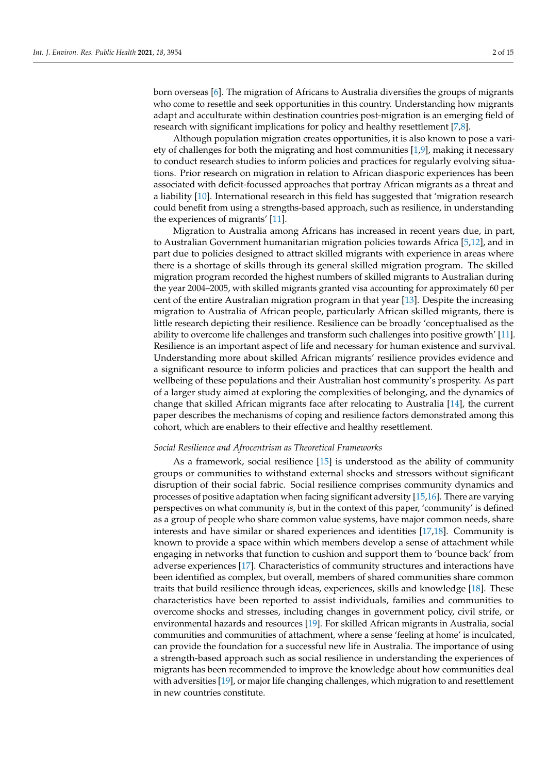born overseas [\[6\]](#page-12-3). The migration of Africans to Australia diversifies the groups of migrants who come to resettle and seek opportunities in this country. Understanding how migrants adapt and acculturate within destination countries post-migration is an emerging field of research with significant implications for policy and healthy resettlement [\[7,](#page-12-4)[8\]](#page-12-5).

Although population migration creates opportunities, it is also known to pose a variety of challenges for both the migrating and host communities [\[1](#page-12-0)[,9\]](#page-12-6), making it necessary to conduct research studies to inform policies and practices for regularly evolving situations. Prior research on migration in relation to African diasporic experiences has been associated with deficit-focussed approaches that portray African migrants as a threat and a liability [\[10\]](#page-12-7). International research in this field has suggested that 'migration research could benefit from using a strengths-based approach, such as resilience, in understanding the experiences of migrants' [\[11\]](#page-12-8).

Migration to Australia among Africans has increased in recent years due, in part, to Australian Government humanitarian migration policies towards Africa [\[5,](#page-12-2)[12\]](#page-12-9), and in part due to policies designed to attract skilled migrants with experience in areas where there is a shortage of skills through its general skilled migration program. The skilled migration program recorded the highest numbers of skilled migrants to Australian during the year 2004–2005, with skilled migrants granted visa accounting for approximately 60 per cent of the entire Australian migration program in that year [\[13\]](#page-12-10). Despite the increasing migration to Australia of African people, particularly African skilled migrants, there is little research depicting their resilience. Resilience can be broadly 'conceptualised as the ability to overcome life challenges and transform such challenges into positive growth' [\[11\]](#page-12-8). Resilience is an important aspect of life and necessary for human existence and survival. Understanding more about skilled African migrants' resilience provides evidence and a significant resource to inform policies and practices that can support the health and wellbeing of these populations and their Australian host community's prosperity. As part of a larger study aimed at exploring the complexities of belonging, and the dynamics of change that skilled African migrants face after relocating to Australia [\[14\]](#page-13-0), the current paper describes the mechanisms of coping and resilience factors demonstrated among this cohort, which are enablers to their effective and healthy resettlement.

#### *Social Resilience and Afrocentrism as Theoretical Frameworks*

As a framework, social resilience [\[15\]](#page-13-1) is understood as the ability of community groups or communities to withstand external shocks and stressors without significant disruption of their social fabric. Social resilience comprises community dynamics and processes of positive adaptation when facing significant adversity [\[15,](#page-13-1)[16\]](#page-13-2). There are varying perspectives on what community *is*, but in the context of this paper, 'community' is defined as a group of people who share common value systems, have major common needs, share interests and have similar or shared experiences and identities [\[17](#page-13-3)[,18\]](#page-13-4). Community is known to provide a space within which members develop a sense of attachment while engaging in networks that function to cushion and support them to 'bounce back' from adverse experiences [\[17\]](#page-13-3). Characteristics of community structures and interactions have been identified as complex, but overall, members of shared communities share common traits that build resilience through ideas, experiences, skills and knowledge [\[18\]](#page-13-4). These characteristics have been reported to assist individuals, families and communities to overcome shocks and stresses, including changes in government policy, civil strife, or environmental hazards and resources [\[19\]](#page-13-5). For skilled African migrants in Australia, social communities and communities of attachment, where a sense 'feeling at home' is inculcated, can provide the foundation for a successful new life in Australia. The importance of using a strength-based approach such as social resilience in understanding the experiences of migrants has been recommended to improve the knowledge about how communities deal with adversities [\[19\]](#page-13-5), or major life changing challenges, which migration to and resettlement in new countries constitute.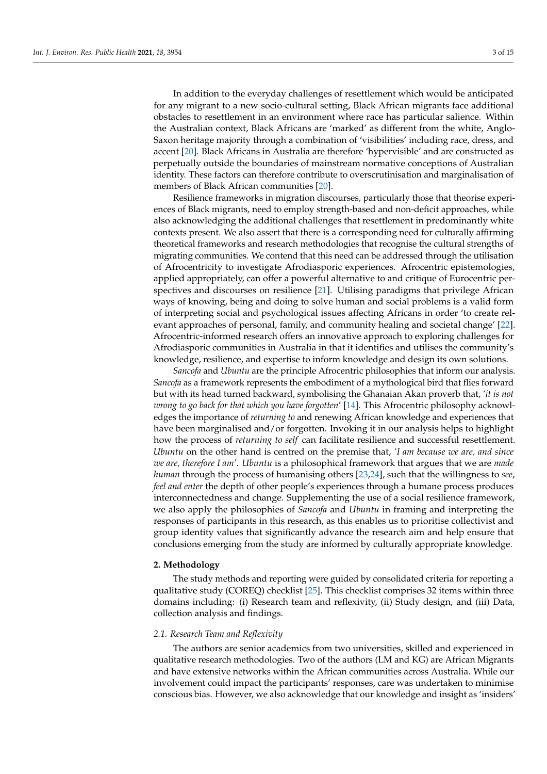In addition to the everyday challenges of resettlement which would be anticipated for any migrant to a new socio-cultural setting, Black African migrants face additional obstacles to resettlement in an environment where race has particular salience. Within the Australian context, Black Africans are 'marked' as different from the white, Anglo-Saxon heritage majority through a combination of 'visibilities' including race, dress, and accent [\[20\]](#page-13-6). Black Africans in Australia are therefore 'hypervisible' and are constructed as perpetually outside the boundaries of mainstream normative conceptions of Australian identity. These factors can therefore contribute to overscrutinisation and marginalisation of members of Black African communities [\[20\]](#page-13-6).

Resilience frameworks in migration discourses, particularly those that theorise experiences of Black migrants, need to employ strength-based and non-deficit approaches, while also acknowledging the additional challenges that resettlement in predominantly white contexts present. We also assert that there is a corresponding need for culturally affirming theoretical frameworks and research methodologies that recognise the cultural strengths of migrating communities. We contend that this need can be addressed through the utilisation of Afrocentricity to investigate Afrodiasporic experiences. Afrocentric epistemologies, applied appropriately, can offer a powerful alternative to and critique of Eurocentric perspectives and discourses on resilience [\[21\]](#page-13-7). Utilising paradigms that privilege African ways of knowing, being and doing to solve human and social problems is a valid form of interpreting social and psychological issues affecting Africans in order 'to create relevant approaches of personal, family, and community healing and societal change' [\[22\]](#page-13-8). Afrocentric-informed research offers an innovative approach to exploring challenges for Afrodiasporic communities in Australia in that it identifies and utilises the community's knowledge, resilience, and expertise to inform knowledge and design its own solutions.

*Sancofa* and *Ubuntu* are the principle Afrocentric philosophies that inform our analysis. *Sancofa* as a framework represents the embodiment of a mythological bird that flies forward but with its head turned backward, symbolising the Ghanaian Akan proverb that, *'it is not wrong to go back for that which you have forgotten*' [\[14\]](#page-13-0). This Afrocentric philosophy acknowledges the importance of *returning to* and renewing African knowledge and experiences that have been marginalised and/or forgotten. Invoking it in our analysis helps to highlight how the process of *returning to self* can facilitate resilience and successful resettlement. *Ubuntu* on the other hand is centred on the premise that, *'I am because we are, and since we are, therefore I am'. Ubuntu* is a philosophical framework that argues that we are *made human* through the process of humanising others [\[23,](#page-13-9)[24\]](#page-13-10), such that the willingness to *see*, *feel and enter* the depth of other people's experiences through a humane process produces interconnectedness and change. Supplementing the use of a social resilience framework, we also apply the philosophies of *Sancofa* and *Ubuntu* in framing and interpreting the responses of participants in this research, as this enables us to prioritise collectivist and group identity values that significantly advance the research aim and help ensure that conclusions emerging from the study are informed by culturally appropriate knowledge.

#### **2. Methodology**

The study methods and reporting were guided by consolidated criteria for reporting a qualitative study (COREQ) checklist [\[25\]](#page-13-11). This checklist comprises 32 items within three domains including: (i) Research team and reflexivity, (ii) Study design, and (iii) Data, collection analysis and findings.

#### *2.1. Research Team and Reflexivity*

The authors are senior academics from two universities, skilled and experienced in qualitative research methodologies. Two of the authors (LM and KG) are African Migrants and have extensive networks within the African communities across Australia. While our involvement could impact the participants' responses, care was undertaken to minimise conscious bias. However, we also acknowledge that our knowledge and insight as 'insiders'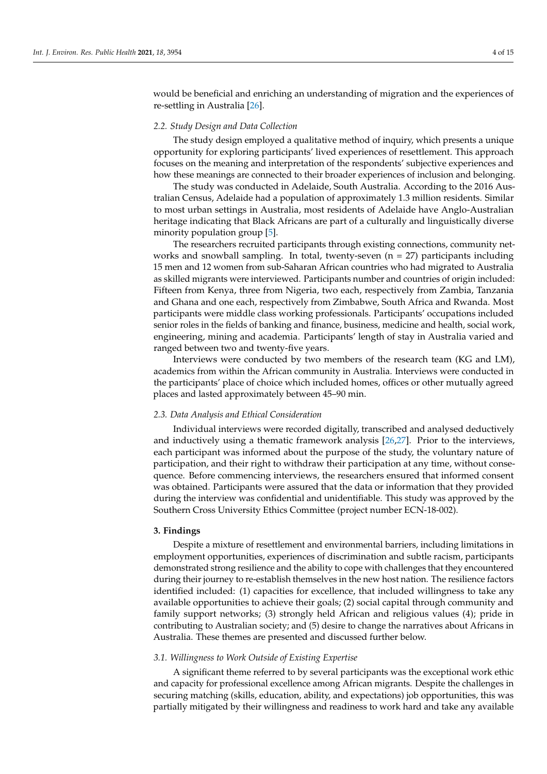would be beneficial and enriching an understanding of migration and the experiences of re-settling in Australia [\[26\]](#page-13-12).

#### *2.2. Study Design and Data Collection*

The study design employed a qualitative method of inquiry, which presents a unique opportunity for exploring participants' lived experiences of resettlement. This approach focuses on the meaning and interpretation of the respondents' subjective experiences and how these meanings are connected to their broader experiences of inclusion and belonging.

The study was conducted in Adelaide, South Australia. According to the 2016 Australian Census, Adelaide had a population of approximately 1.3 million residents. Similar to most urban settings in Australia, most residents of Adelaide have Anglo-Australian heritage indicating that Black Africans are part of a culturally and linguistically diverse minority population group [\[5\]](#page-12-2).

The researchers recruited participants through existing connections, community networks and snowball sampling. In total, twenty-seven  $(n = 27)$  participants including 15 men and 12 women from sub-Saharan African countries who had migrated to Australia as skilled migrants were interviewed. Participants number and countries of origin included: Fifteen from Kenya, three from Nigeria, two each, respectively from Zambia, Tanzania and Ghana and one each, respectively from Zimbabwe, South Africa and Rwanda. Most participants were middle class working professionals. Participants' occupations included senior roles in the fields of banking and finance, business, medicine and health, social work, engineering, mining and academia. Participants' length of stay in Australia varied and ranged between two and twenty-five years.

Interviews were conducted by two members of the research team (KG and LM), academics from within the African community in Australia. Interviews were conducted in the participants' place of choice which included homes, offices or other mutually agreed places and lasted approximately between 45–90 min.

#### *2.3. Data Analysis and Ethical Consideration*

Individual interviews were recorded digitally, transcribed and analysed deductively and inductively using a thematic framework analysis [\[26](#page-13-12)[,27\]](#page-13-13). Prior to the interviews, each participant was informed about the purpose of the study, the voluntary nature of participation, and their right to withdraw their participation at any time, without consequence. Before commencing interviews, the researchers ensured that informed consent was obtained. Participants were assured that the data or information that they provided during the interview was confidential and unidentifiable. This study was approved by the Southern Cross University Ethics Committee (project number ECN-18-002).

#### **3. Findings**

Despite a mixture of resettlement and environmental barriers, including limitations in employment opportunities, experiences of discrimination and subtle racism, participants demonstrated strong resilience and the ability to cope with challenges that they encountered during their journey to re-establish themselves in the new host nation. The resilience factors identified included: (1) capacities for excellence, that included willingness to take any available opportunities to achieve their goals; (2) social capital through community and family support networks; (3) strongly held African and religious values (4); pride in contributing to Australian society; and (5) desire to change the narratives about Africans in Australia. These themes are presented and discussed further below.

## *3.1. Willingness to Work Outside of Existing Expertise*

A significant theme referred to by several participants was the exceptional work ethic and capacity for professional excellence among African migrants. Despite the challenges in securing matching (skills, education, ability, and expectations) job opportunities, this was partially mitigated by their willingness and readiness to work hard and take any available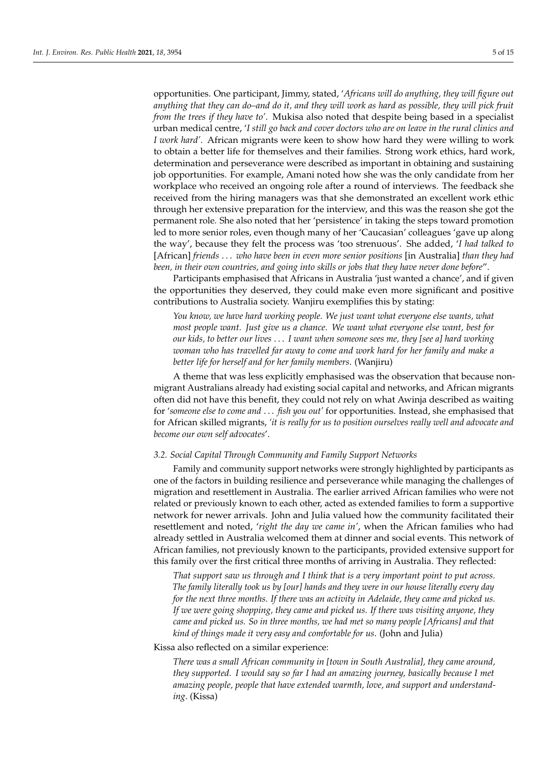opportunities. One participant, Jimmy, stated, '*Africans will do anything, they will figure out anything that they can do–and do it, and they will work as hard as possible, they will pick fruit from the trees if they have to'*. Mukisa also noted that despite being based in a specialist urban medical centre, '*I still go back and cover doctors who are on leave in the rural clinics and I work hard'.* African migrants were keen to show how hard they were willing to work to obtain a better life for themselves and their families. Strong work ethics, hard work, determination and perseverance were described as important in obtaining and sustaining job opportunities. For example, Amani noted how she was the only candidate from her workplace who received an ongoing role after a round of interviews. The feedback she received from the hiring managers was that she demonstrated an excellent work ethic through her extensive preparation for the interview, and this was the reason she got the permanent role. She also noted that her 'persistence' in taking the steps toward promotion led to more senior roles, even though many of her 'Caucasian' colleagues 'gave up along the way', because they felt the process was 'too strenuous'. She added, '*I had talked to* [African] *friends* . . . *who have been in even more senior positions* [in Australia] *than they had been, in their own countries, and going into skills or jobs that they have never done before*".

Participants emphasised that Africans in Australia 'just wanted a chance', and if given the opportunities they deserved, they could make even more significant and positive contributions to Australia society. Wanjiru exemplifies this by stating:

*You know, we have hard working people. We just want what everyone else wants, what most people want. Just give us a chance. We want what everyone else want, best for our kids, to better our lives* . . . *I want when someone sees me, they [see a] hard working woman who has travelled far away to come and work hard for her family and make a better life for herself and for her family members*. (Wanjiru)

A theme that was less explicitly emphasised was the observation that because nonmigrant Australians already had existing social capital and networks, and African migrants often did not have this benefit, they could not rely on what Awinja described as waiting for '*someone else to come and* . . . *fish you out'* for opportunities. Instead, she emphasised that for African skilled migrants, *'it is really for us to position ourselves really well and advocate and become our own self advocates*'.

#### *3.2. Social Capital Through Community and Family Support Networks*

Family and community support networks were strongly highlighted by participants as one of the factors in building resilience and perseverance while managing the challenges of migration and resettlement in Australia. The earlier arrived African families who were not related or previously known to each other, acted as extended families to form a supportive network for newer arrivals. John and Julia valued how the community facilitated their resettlement and noted, '*right the day we came in'*, when the African families who had already settled in Australia welcomed them at dinner and social events. This network of African families, not previously known to the participants, provided extensive support for this family over the first critical three months of arriving in Australia. They reflected:

*That support saw us through and I think that is a very important point to put across. The family literally took us by [our] hands and they were in our house literally every day for the next three months. If there was an activity in Adelaide, they came and picked us. If we were going shopping, they came and picked us. If there was visiting anyone, they came and picked us. So in three months, we had met so many people [Africans] and that kind of things made it very easy and comfortable for us*. (John and Julia)

Kissa also reflected on a similar experience:

*There was a small African community in [town in South Australia], they came around, they supported. I would say so far I had an amazing journey, basically because I met amazing people, people that have extended warmth, love, and support and understanding*. (Kissa)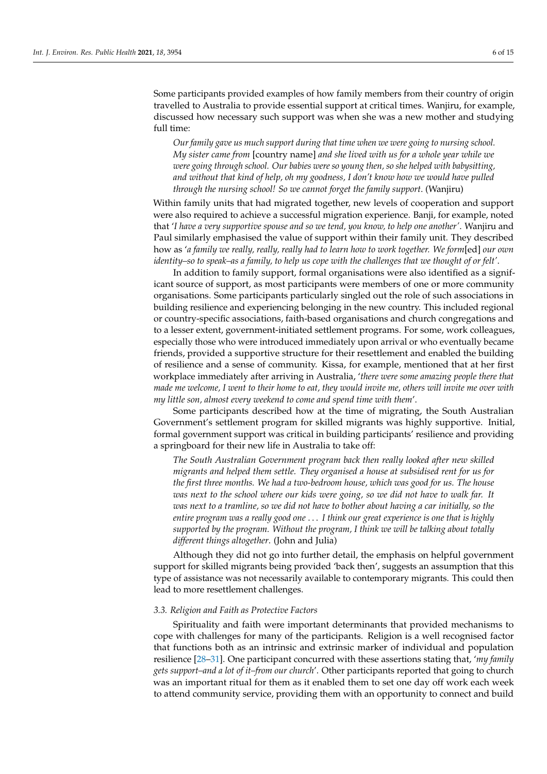Some participants provided examples of how family members from their country of origin travelled to Australia to provide essential support at critical times. Wanjiru, for example, discussed how necessary such support was when she was a new mother and studying full time:

*Our family gave us much support during that time when we were going to nursing school. My sister came from* [country name] *and she lived with us for a whole year while we were going through school. Our babies were so young then, so she helped with babysitting, and without that kind of help, oh my goodness, I don't know how we would have pulled through the nursing school! So we cannot forget the family support*. (Wanjiru)

Within family units that had migrated together, new levels of cooperation and support were also required to achieve a successful migration experience. Banji, for example, noted that '*I have a very supportive spouse and so we tend, you know, to help one another'*. Wanjiru and Paul similarly emphasised the value of support within their family unit. They described how as '*a family we really, really, really had to learn how to work together. We form*[ed] *our own identity–so to speak–as a family, to help us cope with the challenges that we thought of or felt'*.

In addition to family support, formal organisations were also identified as a significant source of support, as most participants were members of one or more community organisations. Some participants particularly singled out the role of such associations in building resilience and experiencing belonging in the new country. This included regional or country-specific associations, faith-based organisations and church congregations and to a lesser extent, government-initiated settlement programs. For some, work colleagues, especially those who were introduced immediately upon arrival or who eventually became friends, provided a supportive structure for their resettlement and enabled the building of resilience and a sense of community. Kissa, for example, mentioned that at her first workplace immediately after arriving in Australia, '*there were some amazing people there that made me welcome, I went to their home to eat, they would invite me, others will invite me over with my little son, almost every weekend to come and spend time with them*'.

Some participants described how at the time of migrating, the South Australian Government's settlement program for skilled migrants was highly supportive. Initial, formal government support was critical in building participants' resilience and providing a springboard for their new life in Australia to take off:

*The South Australian Government program back then really looked after new skilled migrants and helped them settle. They organised a house at subsidised rent for us for the first three months. We had a two-bedroom house, which was good for us. The house was next to the school where our kids were going, so we did not have to walk far. It was next to a tramline, so we did not have to bother about having a car initially, so the entire program was a really good one* . . . *I think our great experience is one that is highly supported by the program. Without the program, I think we will be talking about totally different things altogether*. (John and Julia)

Although they did not go into further detail, the emphasis on helpful government support for skilled migrants being provided 'back then', suggests an assumption that this type of assistance was not necessarily available to contemporary migrants. This could then lead to more resettlement challenges.

#### *3.3. Religion and Faith as Protective Factors*

Spirituality and faith were important determinants that provided mechanisms to cope with challenges for many of the participants. Religion is a well recognised factor that functions both as an intrinsic and extrinsic marker of individual and population resilience [\[28](#page-13-14)[–31\]](#page-13-15). One participant concurred with these assertions stating that, '*my family gets support–and a lot of it–from our church*'. Other participants reported that going to church was an important ritual for them as it enabled them to set one day off work each week to attend community service, providing them with an opportunity to connect and build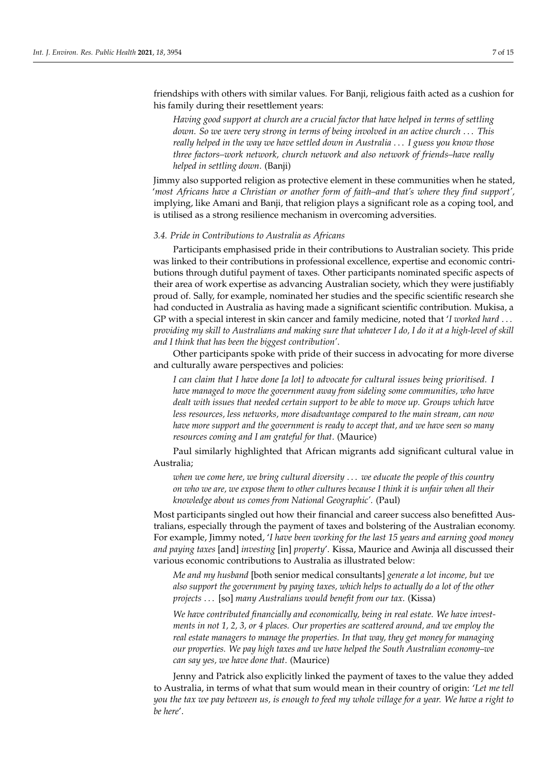friendships with others with similar values. For Banji, religious faith acted as a cushion for his family during their resettlement years:

*Having good support at church are a crucial factor that have helped in terms of settling down. So we were very strong in terms of being involved in an active church* . . . *This really helped in the way we have settled down in Australia* . . . *I guess you know those three factors–work network, church network and also network of friends–have really helped in settling down*. (Banji)

Jimmy also supported religion as protective element in these communities when he stated, '*most Africans have a Christian or another form of faith–and that's where they find support',* implying, like Amani and Banji, that religion plays a significant role as a coping tool, and is utilised as a strong resilience mechanism in overcoming adversities.

## *3.4. Pride in Contributions to Australia as Africans*

Participants emphasised pride in their contributions to Australian society. This pride was linked to their contributions in professional excellence, expertise and economic contributions through dutiful payment of taxes. Other participants nominated specific aspects of their area of work expertise as advancing Australian society, which they were justifiably proud of. Sally, for example, nominated her studies and the specific scientific research she had conducted in Australia as having made a significant scientific contribution. Mukisa, a GP with a special interest in skin cancer and family medicine, noted that '*I worked hard* . . . *providing my skill to Australians and making sure that whatever I do, I do it at a high-level of skill and I think that has been the biggest contribution'*.

Other participants spoke with pride of their success in advocating for more diverse and culturally aware perspectives and policies:

*I can claim that I have done [a lot] to advocate for cultural issues being prioritised. I have managed to move the government away from sideling some communities, who have dealt with issues that needed certain support to be able to move up. Groups which have less resources, less networks, more disadvantage compared to the main stream, can now have more support and the government is ready to accept that, and we have seen so many resources coming and I am grateful for that*. (Maurice)

Paul similarly highlighted that African migrants add significant cultural value in Australia;

*when we come here, we bring cultural diversity* . . . *we educate the people of this country on who we are, we expose them to other cultures because I think it is unfair when all their knowledge about us comes from National Geographic'.* (Paul)

Most participants singled out how their financial and career success also benefitted Australians, especially through the payment of taxes and bolstering of the Australian economy. For example, Jimmy noted, '*I have been working for the last 15 years and earning good money and paying taxes* [and] *investing* [in] *property*'. Kissa, Maurice and Awinja all discussed their various economic contributions to Australia as illustrated below:

*Me and my husband* [both senior medical consultants] *generate a lot income, but we also support the government by paying taxes, which helps to actually do a lot of the other projects* . . . [so] *many Australians would benefit from our tax*. (Kissa)

*We have contributed financially and economically, being in real estate. We have investments in not 1, 2, 3, or 4 places. Our properties are scattered around, and we employ the real estate managers to manage the properties. In that way, they get money for managing our properties. We pay high taxes and we have helped the South Australian economy–we can say yes, we have done that*. (Maurice)

Jenny and Patrick also explicitly linked the payment of taxes to the value they added to Australia, in terms of what that sum would mean in their country of origin: '*Let me tell you the tax we pay between us, is enough to feed my whole village for a year. We have a right to be here*'.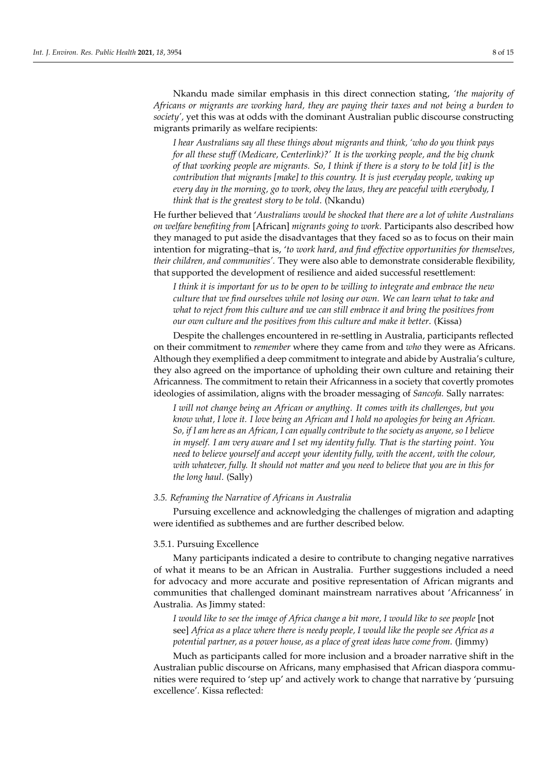Nkandu made similar emphasis in this direct connection stating, *'the majority of Africans or migrants are working hard, they are paying their taxes and not being a burden to society',* yet this was at odds with the dominant Australian public discourse constructing migrants primarily as welfare recipients:

*I hear Australians say all these things about migrants and think, 'who do you think pays for all these stuff (Medicare, Centerlink)?' It is the working people, and the big chunk of that working people are migrants. So, I think if there is a story to be told [it] is the contribution that migrants [make] to this country. It is just everyday people, waking up every day in the morning, go to work, obey the laws, they are peaceful with everybody, I think that is the greatest story to be told*. (Nkandu)

He further believed that '*Australians would be shocked that there are a lot of white Australians on welfare benefiting from* [African] *migrants going to work*. Participants also described how they managed to put aside the disadvantages that they faced so as to focus on their main intention for migrating–that is, '*to work hard, and find effective opportunities for themselves, their children, and communities'.* They were also able to demonstrate considerable flexibility, that supported the development of resilience and aided successful resettlement:

*I think it is important for us to be open to be willing to integrate and embrace the new culture that we find ourselves while not losing our own. We can learn what to take and what to reject from this culture and we can still embrace it and bring the positives from our own culture and the positives from this culture and make it better*. (Kissa)

Despite the challenges encountered in re-settling in Australia, participants reflected on their commitment to *remember* where they came from and *who* they were as Africans. Although they exemplified a deep commitment to integrate and abide by Australia's culture, they also agreed on the importance of upholding their own culture and retaining their Africanness. The commitment to retain their Africanness in a society that covertly promotes ideologies of assimilation, aligns with the broader messaging of *Sancofa.* Sally narrates:

*I will not change being an African or anything. It comes with its challenges, but you know what, I love it. I love being an African and I hold no apologies for being an African. So, if I am here as an African, I can equally contribute to the society as anyone, so I believe in myself. I am very aware and I set my identity fully. That is the starting point. You need to believe yourself and accept your identity fully, with the accent, with the colour, with whatever, fully. It should not matter and you need to believe that you are in this for the long haul*. (Sally)

## *3.5. Reframing the Narrative of Africans in Australia*

Pursuing excellence and acknowledging the challenges of migration and adapting were identified as subthemes and are further described below.

#### 3.5.1. Pursuing Excellence

Many participants indicated a desire to contribute to changing negative narratives of what it means to be an African in Australia. Further suggestions included a need for advocacy and more accurate and positive representation of African migrants and communities that challenged dominant mainstream narratives about 'Africanness' in Australia. As Jimmy stated:

*I would like to see the image of Africa change a bit more, I would like to see people* [not see] *Africa as a place where there is needy people, I would like the people see Africa as a potential partner, as a power house, as a place of great ideas have come from*. (Jimmy)

Much as participants called for more inclusion and a broader narrative shift in the Australian public discourse on Africans, many emphasised that African diaspora communities were required to 'step up' and actively work to change that narrative by 'pursuing excellence'. Kissa reflected: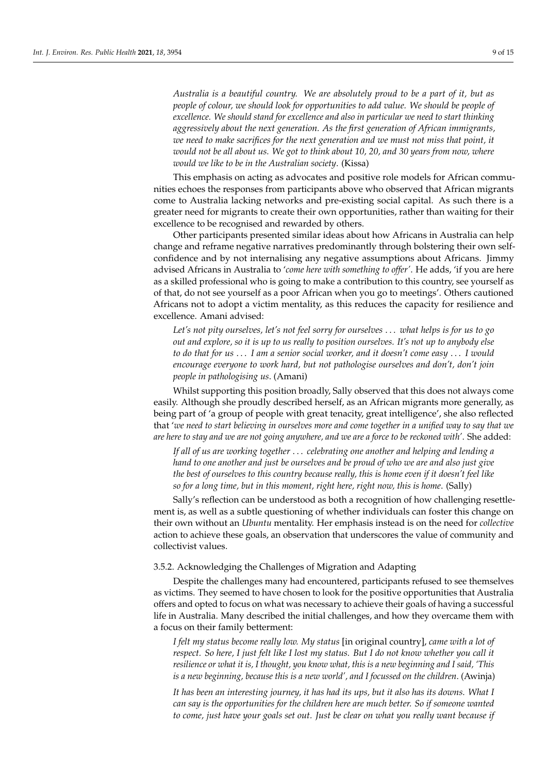*Australia is a beautiful country. We are absolutely proud to be a part of it, but as people of colour, we should look for opportunities to add value. We should be people of excellence. We should stand for excellence and also in particular we need to start thinking aggressively about the next generation. As the first generation of African immigrants, we need to make sacrifices for the next generation and we must not miss that point, it would not be all about us. We got to think about 10, 20, and 30 years from now, where would we like to be in the Australian society*. (Kissa)

This emphasis on acting as advocates and positive role models for African communities echoes the responses from participants above who observed that African migrants come to Australia lacking networks and pre-existing social capital. As such there is a greater need for migrants to create their own opportunities, rather than waiting for their excellence to be recognised and rewarded by others.

Other participants presented similar ideas about how Africans in Australia can help change and reframe negative narratives predominantly through bolstering their own selfconfidence and by not internalising any negative assumptions about Africans. Jimmy advised Africans in Australia to '*come here with something to offer'*. He adds, 'if you are here as a skilled professional who is going to make a contribution to this country, see yourself as of that, do not see yourself as a poor African when you go to meetings'. Others cautioned Africans not to adopt a victim mentality, as this reduces the capacity for resilience and excellence. Amani advised:

*Let's not pity ourselves, let's not feel sorry for ourselves* . . . *what helps is for us to go out and explore, so it is up to us really to position ourselves. It's not up to anybody else to do that for us* . . . *I am a senior social worker, and it doesn't come easy* . . . *I would encourage everyone to work hard, but not pathologise ourselves and don't, don't join people in pathologising us*. (Amani)

Whilst supporting this position broadly, Sally observed that this does not always come easily. Although she proudly described herself, as an African migrants more generally, as being part of 'a group of people with great tenacity, great intelligence', she also reflected that '*we need to start believing in ourselves more and come together in a unified way to say that we are here to stay and we are not going anywhere, and we are a force to be reckoned with'*. She added:

*If all of us are working together* . . . *celebrating one another and helping and lending a hand to one another and just be ourselves and be proud of who we are and also just give the best of ourselves to this country because really, this is home even if it doesn't feel like so for a long time, but in this moment, right here, right now, this is home*. (Sally)

Sally's reflection can be understood as both a recognition of how challenging resettlement is, as well as a subtle questioning of whether individuals can foster this change on their own without an *Ubuntu* mentality. Her emphasis instead is on the need for *collective* action to achieve these goals, an observation that underscores the value of community and collectivist values.

## 3.5.2. Acknowledging the Challenges of Migration and Adapting

Despite the challenges many had encountered, participants refused to see themselves as victims. They seemed to have chosen to look for the positive opportunities that Australia offers and opted to focus on what was necessary to achieve their goals of having a successful life in Australia. Many described the initial challenges, and how they overcame them with a focus on their family betterment:

*I felt my status become really low. My status* [in original country], *came with a lot of respect. So here, I just felt like I lost my status. But I do not know whether you call it resilience or what it is, I thought, you know what, this is a new beginning and I said, 'This is a new beginning, because this is a new world', and I focussed on the children*. (Awinja)

*It has been an interesting journey, it has had its ups, but it also has its downs. What I can say is the opportunities for the children here are much better. So if someone wanted to come, just have your goals set out. Just be clear on what you really want because if*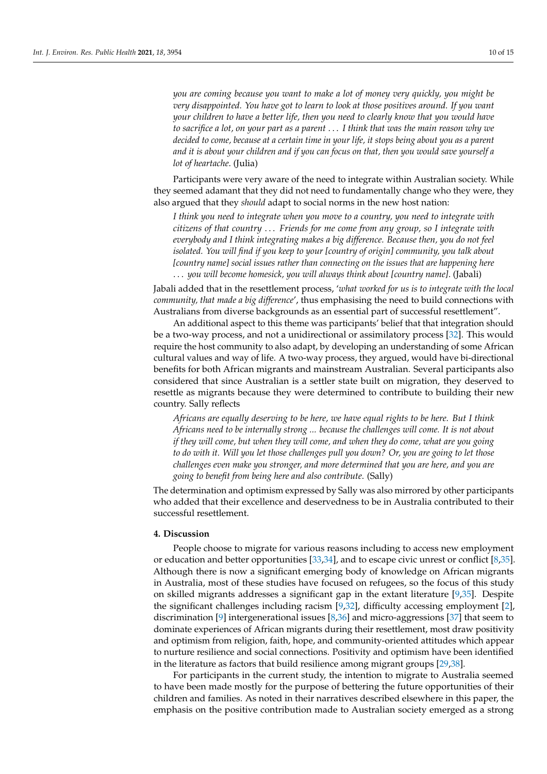*you are coming because you want to make a lot of money very quickly, you might be very disappointed. You have got to learn to look at those positives around. If you want your children to have a better life, then you need to clearly know that you would have to sacrifice a lot, on your part as a parent* . . . *I think that was the main reason why we decided to come, because at a certain time in your life, it stops being about you as a parent and it is about your children and if you can focus on that, then you would save yourself a lot of heartache*. (Julia)

Participants were very aware of the need to integrate within Australian society. While they seemed adamant that they did not need to fundamentally change who they were, they also argued that they *should* adapt to social norms in the new host nation:

*I think you need to integrate when you move to a country, you need to integrate with citizens of that country* . . . *Friends for me come from any group, so I integrate with everybody and I think integrating makes a big difference. Because then, you do not feel isolated. You will find if you keep to your [country of origin] community, you talk about [country name] social issues rather than connecting on the issues that are happening here* . . . *you will become homesick, you will always think about [country name]*. (Jabali)

Jabali added that in the resettlement process, '*what worked for us is to integrate with the local community, that made a big difference*', thus emphasising the need to build connections with Australians from diverse backgrounds as an essential part of successful resettlement".

An additional aspect to this theme was participants' belief that that integration should be a two-way process, and not a unidirectional or assimilatory process [\[32\]](#page-13-16). This would require the host community to also adapt, by developing an understanding of some African cultural values and way of life. A two-way process, they argued, would have bi-directional benefits for both African migrants and mainstream Australian. Several participants also considered that since Australian is a settler state built on migration, they deserved to resettle as migrants because they were determined to contribute to building their new country. Sally reflects

*Africans are equally deserving to be here, we have equal rights to be here. But I think Africans need to be internally strong ... because the challenges will come. It is not about if they will come, but when they will come, and when they do come, what are you going to do with it. Will you let those challenges pull you down? Or, you are going to let those challenges even make you stronger, and more determined that you are here, and you are going to benefit from being here and also contribute*. (Sally)

The determination and optimism expressed by Sally was also mirrored by other participants who added that their excellence and deservedness to be in Australia contributed to their successful resettlement.

## **4. Discussion**

People choose to migrate for various reasons including to access new employment or education and better opportunities [\[33,](#page-13-17)[34\]](#page-13-18), and to escape civic unrest or conflict [\[8,](#page-12-5)[35\]](#page-13-19). Although there is now a significant emerging body of knowledge on African migrants in Australia, most of these studies have focused on refugees, so the focus of this study on skilled migrants addresses a significant gap in the extant literature [\[9](#page-12-6)[,35\]](#page-13-19). Despite the significant challenges including racism [\[9,](#page-12-6)[32\]](#page-13-16), difficulty accessing employment [\[2\]](#page-12-11), discrimination [\[9\]](#page-12-6) intergenerational issues [\[8,](#page-12-5)[36\]](#page-13-20) and micro-aggressions [\[37\]](#page-13-21) that seem to dominate experiences of African migrants during their resettlement, most draw positivity and optimism from religion, faith, hope, and community-oriented attitudes which appear to nurture resilience and social connections. Positivity and optimism have been identified in the literature as factors that build resilience among migrant groups [\[29](#page-13-22)[,38\]](#page-13-23).

For participants in the current study, the intention to migrate to Australia seemed to have been made mostly for the purpose of bettering the future opportunities of their children and families. As noted in their narratives described elsewhere in this paper, the emphasis on the positive contribution made to Australian society emerged as a strong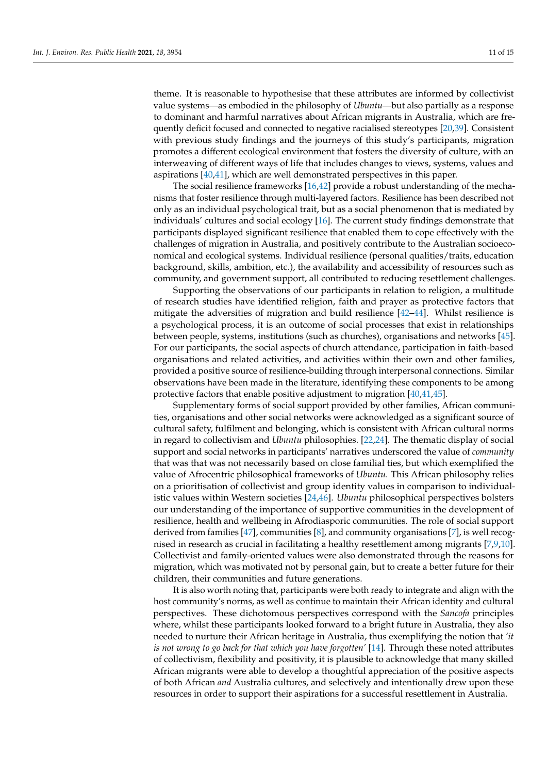theme. It is reasonable to hypothesise that these attributes are informed by collectivist value systems—as embodied in the philosophy of *Ubuntu*—but also partially as a response to dominant and harmful narratives about African migrants in Australia, which are frequently deficit focused and connected to negative racialised stereotypes [\[20](#page-13-6)[,39\]](#page-13-24). Consistent with previous study findings and the journeys of this study's participants, migration promotes a different ecological environment that fosters the diversity of culture, with an interweaving of different ways of life that includes changes to views, systems, values and aspirations [\[40,](#page-13-25)[41\]](#page-13-26), which are well demonstrated perspectives in this paper.

The social resilience frameworks [\[16,](#page-13-2)[42\]](#page-13-27) provide a robust understanding of the mechanisms that foster resilience through multi-layered factors. Resilience has been described not only as an individual psychological trait, but as a social phenomenon that is mediated by individuals' cultures and social ecology [\[16\]](#page-13-2). The current study findings demonstrate that participants displayed significant resilience that enabled them to cope effectively with the challenges of migration in Australia, and positively contribute to the Australian socioeconomical and ecological systems. Individual resilience (personal qualities/traits, education background, skills, ambition, etc.), the availability and accessibility of resources such as community, and government support, all contributed to reducing resettlement challenges.

Supporting the observations of our participants in relation to religion, a multitude of research studies have identified religion, faith and prayer as protective factors that mitigate the adversities of migration and build resilience  $[42-44]$  $[42-44]$ . Whilst resilience is a psychological process, it is an outcome of social processes that exist in relationships between people, systems, institutions (such as churches), organisations and networks [\[45\]](#page-13-29). For our participants, the social aspects of church attendance, participation in faith-based organisations and related activities, and activities within their own and other families, provided a positive source of resilience-building through interpersonal connections. Similar observations have been made in the literature, identifying these components to be among protective factors that enable positive adjustment to migration [\[40,](#page-13-25)[41,](#page-13-26)[45\]](#page-13-29).

Supplementary forms of social support provided by other families, African communities, organisations and other social networks were acknowledged as a significant source of cultural safety, fulfilment and belonging, which is consistent with African cultural norms in regard to collectivism and *Ubuntu* philosophies. [\[22,](#page-13-8)[24\]](#page-13-10). The thematic display of social support and social networks in participants' narratives underscored the value of *community* that was that was not necessarily based on close familial ties, but which exemplified the value of Afrocentric philosophical frameworks of *Ubuntu.* This African philosophy relies on a prioritisation of collectivist and group identity values in comparison to individualistic values within Western societies [\[24,](#page-13-10)[46\]](#page-13-30). *Ubuntu* philosophical perspectives bolsters our understanding of the importance of supportive communities in the development of resilience, health and wellbeing in Afrodiasporic communities. The role of social support derived from families [\[47\]](#page-14-0), communities [\[8\]](#page-12-5), and community organisations [\[7\]](#page-12-4), is well recognised in research as crucial in facilitating a healthy resettlement among migrants [\[7,](#page-12-4)[9,](#page-12-6)[10\]](#page-12-7). Collectivist and family-oriented values were also demonstrated through the reasons for migration, which was motivated not by personal gain, but to create a better future for their children, their communities and future generations.

It is also worth noting that, participants were both ready to integrate and align with the host community's norms, as well as continue to maintain their African identity and cultural perspectives. These dichotomous perspectives correspond with the *Sancofa* principles where, whilst these participants looked forward to a bright future in Australia, they also needed to nurture their African heritage in Australia, thus exemplifying the notion that *'it is not wrong to go back for that which you have forgotten'* [\[14\]](#page-13-0). Through these noted attributes of collectivism, flexibility and positivity, it is plausible to acknowledge that many skilled African migrants were able to develop a thoughtful appreciation of the positive aspects of both African *and* Australia cultures, and selectively and intentionally drew upon these resources in order to support their aspirations for a successful resettlement in Australia.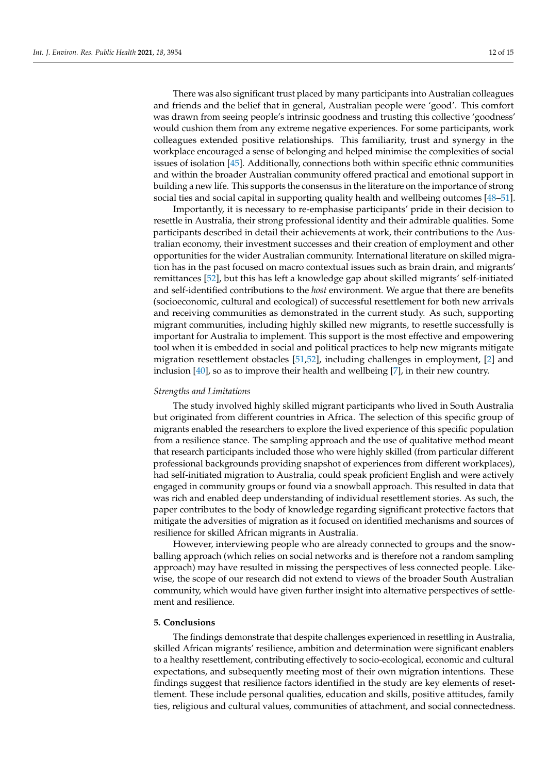There was also significant trust placed by many participants into Australian colleagues and friends and the belief that in general, Australian people were 'good'. This comfort was drawn from seeing people's intrinsic goodness and trusting this collective 'goodness' would cushion them from any extreme negative experiences. For some participants, work colleagues extended positive relationships. This familiarity, trust and synergy in the workplace encouraged a sense of belonging and helped minimise the complexities of social issues of isolation [\[45\]](#page-13-29). Additionally, connections both within specific ethnic communities and within the broader Australian community offered practical and emotional support in building a new life. This supports the consensus in the literature on the importance of strong social ties and social capital in supporting quality health and wellbeing outcomes [\[48](#page-14-1)[–51\]](#page-14-2).

Importantly, it is necessary to re-emphasise participants' pride in their decision to resettle in Australia, their strong professional identity and their admirable qualities. Some participants described in detail their achievements at work, their contributions to the Australian economy, their investment successes and their creation of employment and other opportunities for the wider Australian community. International literature on skilled migration has in the past focused on macro contextual issues such as brain drain, and migrants' remittances [\[52\]](#page-14-3), but this has left a knowledge gap about skilled migrants' self-initiated and self-identified contributions to the *host* environment. We argue that there are benefits (socioeconomic, cultural and ecological) of successful resettlement for both new arrivals and receiving communities as demonstrated in the current study. As such, supporting migrant communities, including highly skilled new migrants, to resettle successfully is important for Australia to implement. This support is the most effective and empowering tool when it is embedded in social and political practices to help new migrants mitigate migration resettlement obstacles [\[51,](#page-14-2)[52\]](#page-14-3), including challenges in employment, [\[2\]](#page-12-11) and inclusion [\[40\]](#page-13-25), so as to improve their health and wellbeing [\[7\]](#page-12-4), in their new country.

#### *Strengths and Limitations*

The study involved highly skilled migrant participants who lived in South Australia but originated from different countries in Africa. The selection of this specific group of migrants enabled the researchers to explore the lived experience of this specific population from a resilience stance. The sampling approach and the use of qualitative method meant that research participants included those who were highly skilled (from particular different professional backgrounds providing snapshot of experiences from different workplaces), had self-initiated migration to Australia, could speak proficient English and were actively engaged in community groups or found via a snowball approach. This resulted in data that was rich and enabled deep understanding of individual resettlement stories. As such, the paper contributes to the body of knowledge regarding significant protective factors that mitigate the adversities of migration as it focused on identified mechanisms and sources of resilience for skilled African migrants in Australia.

However, interviewing people who are already connected to groups and the snowballing approach (which relies on social networks and is therefore not a random sampling approach) may have resulted in missing the perspectives of less connected people. Likewise, the scope of our research did not extend to views of the broader South Australian community, which would have given further insight into alternative perspectives of settlement and resilience.

# **5. Conclusions**

The findings demonstrate that despite challenges experienced in resettling in Australia, skilled African migrants' resilience, ambition and determination were significant enablers to a healthy resettlement, contributing effectively to socio-ecological, economic and cultural expectations, and subsequently meeting most of their own migration intentions. These findings suggest that resilience factors identified in the study are key elements of resettlement. These include personal qualities, education and skills, positive attitudes, family ties, religious and cultural values, communities of attachment, and social connectedness.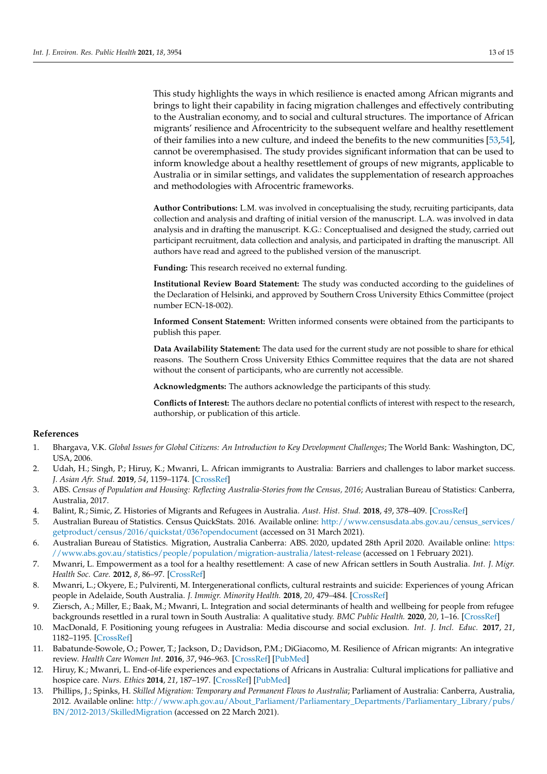This study highlights the ways in which resilience is enacted among African migrants and brings to light their capability in facing migration challenges and effectively contributing to the Australian economy, and to social and cultural structures. The importance of African migrants' resilience and Afrocentricity to the subsequent welfare and healthy resettlement of their families into a new culture, and indeed the benefits to the new communities [\[53](#page-14-4)[,54\]](#page-14-5), cannot be overemphasised. The study provides significant information that can be used to inform knowledge about a healthy resettlement of groups of new migrants, applicable to Australia or in similar settings, and validates the supplementation of research approaches and methodologies with Afrocentric frameworks.

**Author Contributions:** L.M. was involved in conceptualising the study, recruiting participants, data collection and analysis and drafting of initial version of the manuscript. L.A. was involved in data analysis and in drafting the manuscript. K.G.: Conceptualised and designed the study, carried out participant recruitment, data collection and analysis, and participated in drafting the manuscript. All authors have read and agreed to the published version of the manuscript.

**Funding:** This research received no external funding.

**Institutional Review Board Statement:** The study was conducted according to the guidelines of the Declaration of Helsinki, and approved by Southern Cross University Ethics Committee (project number ECN-18-002).

**Informed Consent Statement:** Written informed consents were obtained from the participants to publish this paper.

**Data Availability Statement:** The data used for the current study are not possible to share for ethical reasons. The Southern Cross University Ethics Committee requires that the data are not shared without the consent of participants, who are currently not accessible.

**Acknowledgments:** The authors acknowledge the participants of this study.

**Conflicts of Interest:** The authors declare no potential conflicts of interest with respect to the research, authorship, or publication of this article.

#### **References**

- <span id="page-12-0"></span>1. Bhargava, V.K. *Global Issues for Global Citizens: An Introduction to Key Development Challenges*; The World Bank: Washington, DC, USA, 2006.
- <span id="page-12-11"></span>2. Udah, H.; Singh, P.; Hiruy, K.; Mwanri, L. African immigrants to Australia: Barriers and challenges to labor market success. *J. Asian Afr. Stud.* **2019**, *54*, 1159–1174. [\[CrossRef\]](http://doi.org/10.1177/0021909619861788)
- <span id="page-12-1"></span>3. ABS. *Census of Population and Housing: Reflecting Australia-Stories from the Census, 2016*; Australian Bureau of Statistics: Canberra, Australia, 2017.
- 4. Balint, R.; Simic, Z. Histories of Migrants and Refugees in Australia. *Aust. Hist. Stud.* **2018**, *49*, 378–409. [\[CrossRef\]](http://doi.org/10.1080/1031461X.2018.1479438)
- <span id="page-12-2"></span>5. Australian Bureau of Statistics. Census QuickStats. 2016. Available online: [http://www.censusdata.abs.gov.au/census\\_services/](http://www.censusdata.abs.gov.au/census_services/getproduct/census/2016/quickstat/036?opendocument) [getproduct/census/2016/quickstat/036?opendocument](http://www.censusdata.abs.gov.au/census_services/getproduct/census/2016/quickstat/036?opendocument) (accessed on 31 March 2021).
- <span id="page-12-3"></span>6. Australian Bureau of Statistics. Migration, Australia Canberra: ABS. 2020, updated 28th April 2020. Available online: [https:](https://www.abs.gov.au/statistics/people/population/migration-australia/latest-release) [//www.abs.gov.au/statistics/people/population/migration-australia/latest-release](https://www.abs.gov.au/statistics/people/population/migration-australia/latest-release) (accessed on 1 February 2021).
- <span id="page-12-4"></span>7. Mwanri, L. Empowerment as a tool for a healthy resettlement: A case of new African settlers in South Australia. *Int. J. Migr. Health Soc. Care.* **2012**, *8*, 86–97. [\[CrossRef\]](http://doi.org/10.1108/17479891211250021)
- <span id="page-12-5"></span>8. Mwanri, L.; Okyere, E.; Pulvirenti, M. Intergenerational conflicts, cultural restraints and suicide: Experiences of young African people in Adelaide, South Australia. *J. Immigr. Minority Health.* **2018**, *20*, 479–484. [\[CrossRef\]](http://doi.org/10.1007/s10903-017-0557-9)
- <span id="page-12-6"></span>9. Ziersch, A.; Miller, E.; Baak, M.; Mwanri, L. Integration and social determinants of health and wellbeing for people from refugee backgrounds resettled in a rural town in South Australia: A qualitative study. *BMC Public Health.* **2020**, *20*, 1–16. [\[CrossRef\]](http://doi.org/10.1186/s12889-020-09724-z)
- <span id="page-12-7"></span>10. MacDonald, F. Positioning young refugees in Australia: Media discourse and social exclusion. *Int. J. Incl. Educ.* **2017**, *21*, 1182–1195. [\[CrossRef\]](http://doi.org/10.1080/13603116.2017.1350324)
- <span id="page-12-8"></span>11. Babatunde-Sowole, O.; Power, T.; Jackson, D.; Davidson, P.M.; DiGiacomo, M. Resilience of African migrants: An integrative review. *Health Care Women Int.* **2016**, *37*, 946–963. [\[CrossRef\]](http://doi.org/10.1080/07399332.2016.1158263) [\[PubMed\]](http://www.ncbi.nlm.nih.gov/pubmed/26930120)
- <span id="page-12-9"></span>12. Hiruy, K.; Mwanri, L. End-of-life experiences and expectations of Africans in Australia: Cultural implications for palliative and hospice care. *Nurs. Ethics* **2014**, *21*, 187–197. [\[CrossRef\]](http://doi.org/10.1177/0969733012475252) [\[PubMed\]](http://www.ncbi.nlm.nih.gov/pubmed/23462503)
- <span id="page-12-10"></span>13. Phillips, J.; Spinks, H. *Skilled Migration: Temporary and Permanent Flows to Australia*; Parliament of Australia: Canberra, Australia, 2012. Available online: [http://www.aph.gov.au/About\\_Parliament/Parliamentary\\_Departments/Parliamentary\\_Library/pubs/](http://www.aph.gov.au/About_Parliament/Parliamentary_Departments/Parliamentary_Library/pubs/BN/2012-2013/SkilledMigration) [BN/2012-2013/SkilledMigration](http://www.aph.gov.au/About_Parliament/Parliamentary_Departments/Parliamentary_Library/pubs/BN/2012-2013/SkilledMigration) (accessed on 22 March 2021).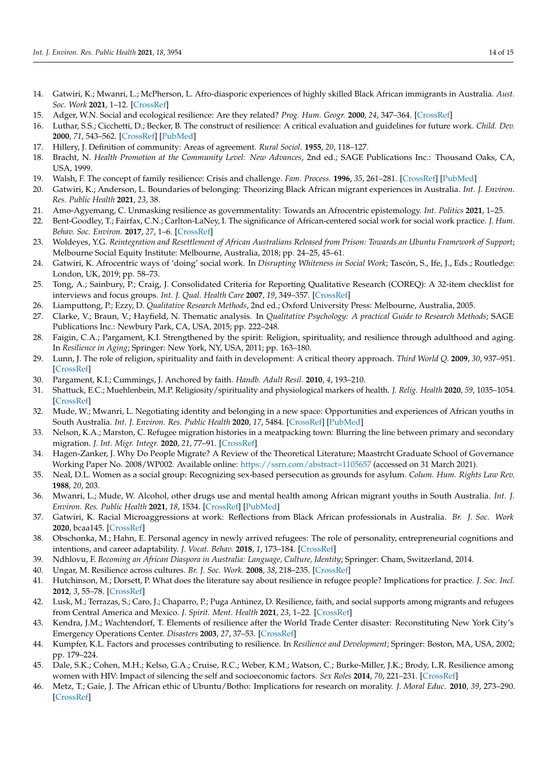- <span id="page-13-0"></span>14. Gatwiri, K.; Mwanri, L.; McPherson, L. Afro-diasporic experiences of highly skilled Black African immigrants in Australia. *Aust. Soc. Work* **2021**, 1–12. [\[CrossRef\]](http://doi.org/10.1080/0312407X.2020.1856393)
- <span id="page-13-1"></span>15. Adger, W.N. Social and ecological resilience: Are they related? *Prog. Hum. Geogr.* **2000**, *24*, 347–364. [\[CrossRef\]](http://doi.org/10.1191/030913200701540465)
- <span id="page-13-2"></span>16. Luthar, S.S.; Cicchetti, D.; Becker, B. The construct of resilience: A critical evaluation and guidelines for future work. *Child. Dev.* **2000**, *71*, 543–562. [\[CrossRef\]](http://doi.org/10.1111/1467-8624.00164) [\[PubMed\]](http://www.ncbi.nlm.nih.gov/pubmed/10953923)
- <span id="page-13-3"></span>17. Hillery, J. Definition of community: Areas of agreement. *Rural Sociol.* **1955**, *20*, 118–127.
- <span id="page-13-4"></span>18. Bracht, N. *Health Promotion at the Community Level: New Advances*, 2nd ed.; SAGE Publications Inc.: Thousand Oaks, CA, USA, 1999.
- <span id="page-13-5"></span>19. Walsh, F. The concept of family resilience: Crisis and challenge. *Fam. Process.* **1996**, *35*, 261–281. [\[CrossRef\]](http://doi.org/10.1111/j.1545-5300.1996.00261.x) [\[PubMed\]](http://www.ncbi.nlm.nih.gov/pubmed/9111709)
- <span id="page-13-6"></span>20. Gatwiri, K.; Anderson, L. Boundaries of belonging: Theorizing Black African migrant experiences in Australia. *Int. J. Environ. Res. Public Health* **2021**, *23*, 38.
- <span id="page-13-7"></span>21. Amo-Agyemang, C. Unmasking resilience as governmentality: Towards an Afrocentric epistemology. *Int. Politics* **2021**, 1–25.
- <span id="page-13-8"></span>22. Bent-Goodley, T.; Fairfax, C.N.; Carlton-LaNey, I. The significance of African-centered social work for social work practice. *J. Hum. Behav. Soc. Environ.* **2017**, *27*, 1–6. [\[CrossRef\]](http://doi.org/10.1080/10911359.2016.1273682)
- <span id="page-13-9"></span>23. Woldeyes, Y.G. *Reintegration and Resettlement of African Australians Released from Prison: Towards an Ubuntu Framework of Support*; Melbourne Social Equity Institute: Melbourne, Australia, 2018; pp. 24–25, 45–61.
- <span id="page-13-10"></span>24. Gatwiri, K. Afrocentric ways of 'doing' social work. In *Disrupting Whiteness in Social Work*; Tascón, S., Ife, J., Eds.; Routledge: London, UK, 2019; pp. 58–73.
- <span id="page-13-11"></span>25. Tong, A.; Sainbury, P.; Craig, J. Consolidated Criteria for Reporting Qualitative Research (COREQ): A 32-item checklist for interviews and focus groups. *Int. J. Qual. Health Care* **2007**, *19*, 349–357. [\[CrossRef\]](http://doi.org/10.1093/intqhc/mzm042)
- <span id="page-13-12"></span>26. Liamputtong, P.; Ezzy, D. *Qualitative Research Methods*, 2nd ed.; Oxford University Press: Melbourne, Australia, 2005.
- <span id="page-13-13"></span>27. Clarke, V.; Braun, V.; Hayfield, N. Thematic analysis. In *Qualitative Psychology: A practical Guide to Research Methods*; SAGE Publications Inc.: Newbury Park, CA, USA, 2015; pp. 222–248.
- <span id="page-13-14"></span>28. Faigin, C.A.; Pargament, K.I. Strengthened by the spirit: Religion, spirituality, and resilience through adulthood and aging. In *Resilience in Aging*; Springer: New York, NY, USA, 2011; pp. 163–180.
- <span id="page-13-22"></span>29. Lunn, J. The role of religion, spirituality and faith in development: A critical theory approach. *Third World Q.* **2009**, *30*, 937–951. [\[CrossRef\]](http://doi.org/10.1080/01436590902959180)
- 30. Pargament, K.I.; Cummings, J. Anchored by faith. *Handb. Adult Resil.* **2010**, *4*, 193–210.
- <span id="page-13-15"></span>31. Shattuck, E.C.; Muehlenbein, M.P. Religiosity/spirituality and physiological markers of health. *J. Relig. Health* **2020**, *59*, 1035–1054. [\[CrossRef\]](http://doi.org/10.1007/s10943-018-0663-6)
- <span id="page-13-16"></span>32. Mude, W.; Mwanri, L. Negotiating identity and belonging in a new space: Opportunities and experiences of African youths in South Australia. *Int. J. Environ. Res. Public Health* **2020**, *17*, 5484. [\[CrossRef\]](http://doi.org/10.3390/ijerph17155484) [\[PubMed\]](http://www.ncbi.nlm.nih.gov/pubmed/32751346)
- <span id="page-13-17"></span>33. Nelson, K.A.; Marston, C. Refugee migration histories in a meatpacking town: Blurring the line between primary and secondary migration. *J. Int. Migr. Integr.* **2020**, *21*, 77–91. [\[CrossRef\]](http://doi.org/10.1007/s12134-019-00694-9)
- <span id="page-13-18"></span>34. Hagen-Zanker, J. Why Do People Migrate? A Review of the Theoretical Literature; Maastrcht Graduate School of Governance Working Paper No. 2008/WP002. Available online: <https://ssrn.com/abstract=1105657> (accessed on 31 March 2021).
- <span id="page-13-19"></span>35. Neal, D.L. Women as a social group: Recognizing sex-based persecution as grounds for asylum. *Colum. Hum. Rights Law Rev.* **1988**, *20*, 203.
- <span id="page-13-20"></span>36. Mwanri, L.; Mude, W. Alcohol, other drugs use and mental health among African migrant youths in South Australia. *Int. J. Environ. Res. Public Health* **2021**, *18*, 1534. [\[CrossRef\]](http://doi.org/10.3390/ijerph18041534) [\[PubMed\]](http://www.ncbi.nlm.nih.gov/pubmed/33562839)
- <span id="page-13-21"></span>37. Gatwiri, K. Racial Microaggressions at work: Reflections from Black African professionals in Australia. *Br. J. Soc. Work* **2020**, bcaa145. [\[CrossRef\]](http://doi.org/10.1093/bjsw/bcaa145)
- <span id="page-13-23"></span>38. Obschonka, M.; Hahn, E. Personal agency in newly arrived refugees: The role of personality, entrepreneurial cognitions and intentions, and career adaptability. *J. Vocat. Behav.* **2018**, *1*, 173–184. [\[CrossRef\]](http://doi.org/10.1016/j.jvb.2018.01.003)
- <span id="page-13-24"></span>39. Ndhlovu, F. *Becoming an African Diaspora in Australia: Language, Culture, Identity*; Springer: Cham, Switzerland, 2014.
- <span id="page-13-25"></span>40. Ungar, M. Resilience across cultures. *Br. J. Soc. Work.* **2008**, *38*, 218–235. [\[CrossRef\]](http://doi.org/10.1093/bjsw/bcl343)
- <span id="page-13-26"></span>41. Hutchinson, M.; Dorsett, P. What does the literature say about resilience in refugee people? Implications for practice. *J. Soc. Incl.* **2012**, *3*, 55–78. [\[CrossRef\]](http://doi.org/10.36251/josi.55)
- <span id="page-13-27"></span>42. Lusk, M.; Terrazas, S.; Caro, J.; Chaparro, P.; Puga Antúnez, D. Resilience, faith, and social supports among migrants and refugees from Central America and Mexico. *J. Spirit. Ment. Health* **2021**, *23*, 1–22. [\[CrossRef\]](http://doi.org/10.1080/19349637.2019.1620668)
- 43. Kendra, J.M.; Wachtendorf, T. Elements of resilience after the World Trade Center disaster: Reconstituting New York City's Emergency Operations Center. *Disasters* **2003**, *27*, 37–53. [\[CrossRef\]](http://doi.org/10.1111/1467-7717.00218)
- <span id="page-13-28"></span>44. Kumpfer, K.L. Factors and processes contributing to resilience. In *Resilience and Development*; Springer: Boston, MA, USA, 2002; pp. 179–224.
- <span id="page-13-29"></span>45. Dale, S.K.; Cohen, M.H.; Kelso, G.A.; Cruise, R.C.; Weber, K.M.; Watson, C.; Burke-Miller, J.K.; Brody, L.R. Resilience among women with HIV: Impact of silencing the self and socioeconomic factors. *Sex Roles* **2014**, *70*, 221–231. [\[CrossRef\]](http://doi.org/10.1007/s11199-014-0348-x)
- <span id="page-13-30"></span>46. Metz, T.; Gaie, J. The African ethic of Ubuntu/Botho: Implications for research on morality. *J. Moral Educ.* **2010**, *39*, 273–290. [\[CrossRef\]](http://doi.org/10.1080/03057240.2010.497609)